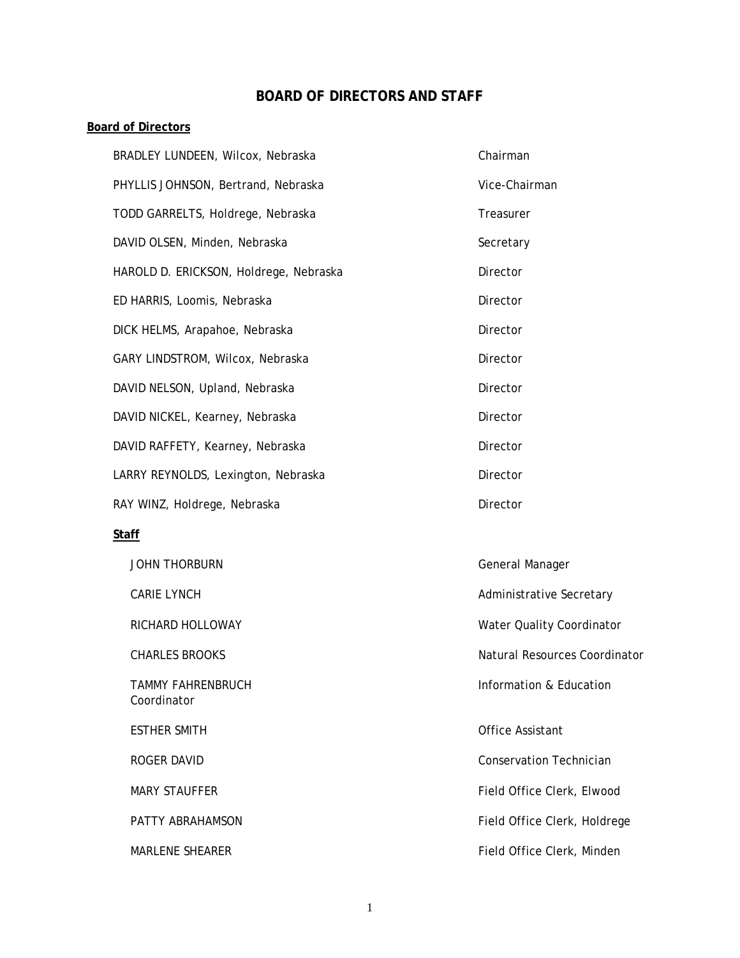# **BOARD OF DIRECTORS AND STAFF**

## **Board of Directors**

|              | BRADLEY LUNDEEN, Wilcox, Nebraska       | Chairman                       |  |
|--------------|-----------------------------------------|--------------------------------|--|
|              | PHYLLIS JOHNSON, Bertrand, Nebraska     | Vice-Chairman                  |  |
|              | TODD GARRELTS, Holdrege, Nebraska       | Treasurer                      |  |
|              | DAVID OLSEN, Minden, Nebraska           | Secretary                      |  |
|              | HAROLD D. ERICKSON, Holdrege, Nebraska  | Director                       |  |
|              | ED HARRIS, Loomis, Nebraska             | Director                       |  |
|              | DICK HELMS, Arapahoe, Nebraska          | Director                       |  |
|              | GARY LINDSTROM, Wilcox, Nebraska        | Director                       |  |
|              | DAVID NELSON, Upland, Nebraska          | Director                       |  |
|              | DAVID NICKEL, Kearney, Nebraska         | Director                       |  |
|              | DAVID RAFFETY, Kearney, Nebraska        | Director                       |  |
|              | LARRY REYNOLDS, Lexington, Nebraska     | Director                       |  |
|              | RAY WINZ, Holdrege, Nebraska            | Director                       |  |
| <b>Staff</b> |                                         |                                |  |
|              | <b>JOHN THORBURN</b>                    | General Manager                |  |
|              | <b>CARIE LYNCH</b>                      | Administrative Secretary       |  |
|              | RICHARD HOLLOWAY                        | Water Quality Coordinator      |  |
|              | <b>CHARLES BROOKS</b>                   | Natural Resources Coordinator  |  |
|              | <b>TAMMY FAHRENBRUCH</b><br>Coordinator | Information & Education        |  |
|              | <b>ESTHER SMITH</b>                     | Office Assistant               |  |
|              | <b>ROGER DAVID</b>                      | <b>Conservation Technician</b> |  |
|              | <b>MARY STAUFFER</b>                    | Field Office Clerk, Elwood     |  |
|              | PATTY ABRAHAMSON                        | Field Office Clerk, Holdrege   |  |
|              | MARLENE SHEARER                         | Field Office Clerk, Minden     |  |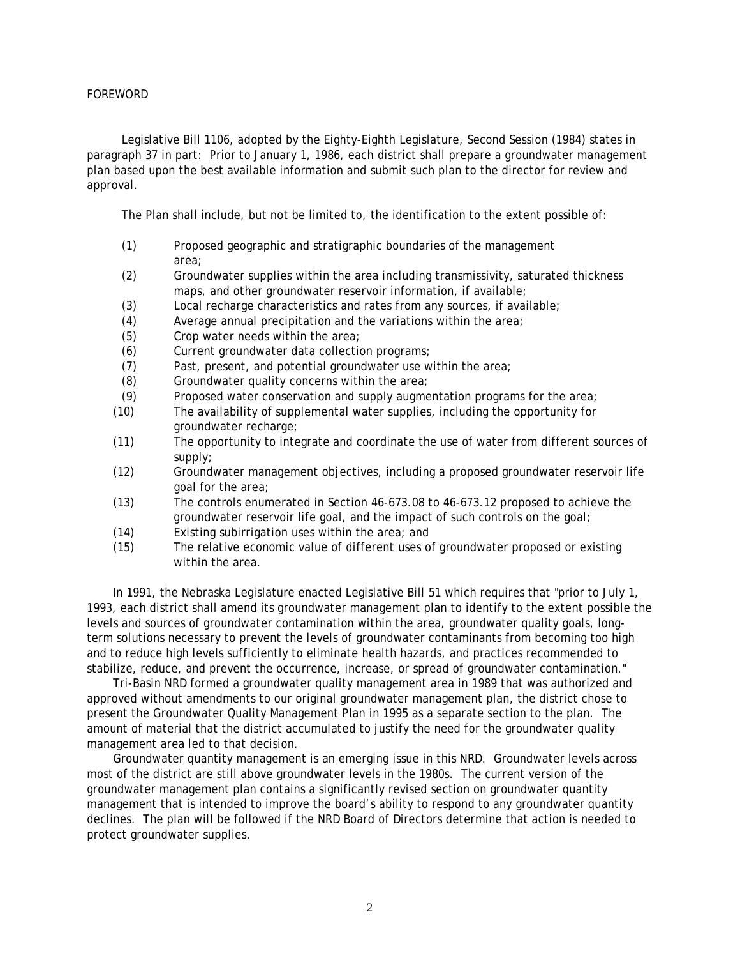#### FOREWORD

Legislative Bill 1106, adopted by the Eighty-Eighth Legislature, Second Session (1984) states in paragraph 37 in part: Prior to January 1, 1986, each district shall prepare a groundwater management plan based upon the best available information and submit such plan to the director for review and approval.

The Plan shall include, but not be limited to, the identification to the extent possible of:

- (1) Proposed geographic and stratigraphic boundaries of the management area;
- (2) Groundwater supplies within the area including transmissivity, saturated thickness maps, and other groundwater reservoir information, if available;
- (3) Local recharge characteristics and rates from any sources, if available;
- (4) Average annual precipitation and the variations within the area;
- (5) Crop water needs within the area;
- (6) Current groundwater data collection programs;
- (7) Past, present, and potential groundwater use within the area;
- (8) Groundwater quality concerns within the area;
- (9) Proposed water conservation and supply augmentation programs for the area;
- (10) The availability of supplemental water supplies, including the opportunity for groundwater recharge;
- (11) The opportunity to integrate and coordinate the use of water from different sources of supply;
- (12) Groundwater management objectives, including a proposed groundwater reservoir life goal for the area;
- (13) The controls enumerated in Section 46-673.08 to 46-673.12 proposed to achieve the groundwater reservoir life goal, and the impact of such controls on the goal;
- (14) Existing subirrigation uses within the area; and
- (15) The relative economic value of different uses of groundwater proposed or existing within the area.

In 1991, the Nebraska Legislature enacted Legislative Bill 51 which requires that "prior to July 1, 1993, each district shall amend its groundwater management plan to identify to the extent possible the levels and sources of groundwater contamination within the area, groundwater quality goals, longterm solutions necessary to prevent the levels of groundwater contaminants from becoming too high and to reduce high levels sufficiently to eliminate health hazards, and practices recommended to stabilize, reduce, and prevent the occurrence, increase, or spread of groundwater contamination."

Tri-Basin NRD formed a groundwater quality management area in 1989 that was authorized and approved without amendments to our original groundwater management plan, the district chose to present the Groundwater Quality Management Plan in 1995 as a separate section to the plan. The amount of material that the district accumulated to justify the need for the groundwater quality management area led to that decision.

Groundwater quantity management is an emerging issue in this NRD. Groundwater levels across most of the district are still above groundwater levels in the 1980s. The current version of the groundwater management plan contains a significantly revised section on groundwater quantity management that is intended to improve the board's ability to respond to any groundwater quantity declines. The plan will be followed if the NRD Board of Directors determine that action is needed to protect groundwater supplies.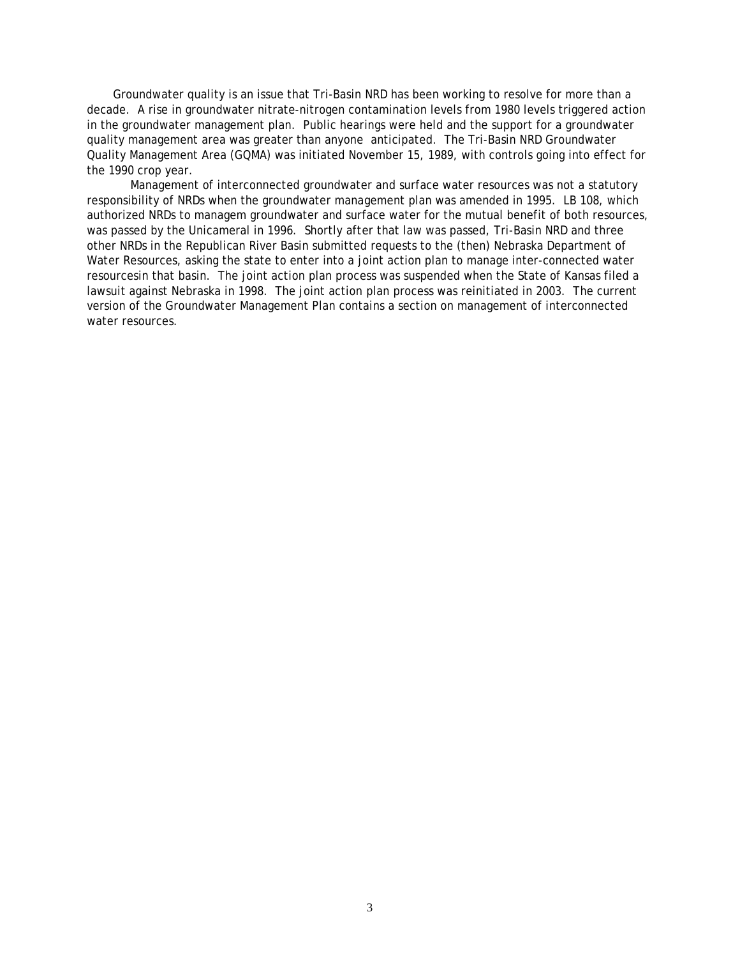Groundwater quality is an issue that Tri-Basin NRD has been working to resolve for more than a decade. A rise in groundwater nitrate-nitrogen contamination levels from 1980 levels triggered action in the groundwater management plan. Public hearings were held and the support for a groundwater quality management area was greater than anyone anticipated. The Tri-Basin NRD Groundwater Quality Management Area (GQMA) was initiated November 15, 1989, with controls going into effect for the 1990 crop year.

 Management of interconnected groundwater and surface water resources was not a statutory responsibility of NRDs when the groundwater management plan was amended in 1995. LB 108, which authorized NRDs to managem groundwater and surface water for the mutual benefit of both resources, was passed by the Unicameral in 1996. Shortly after that law was passed, Tri-Basin NRD and three other NRDs in the Republican River Basin submitted requests to the (then) Nebraska Department of Water Resources, asking the state to enter into a joint action plan to manage inter-connected water resourcesin that basin. The joint action plan process was suspended when the State of Kansas filed a lawsuit against Nebraska in 1998. The joint action plan process was reinitiated in 2003. The current version of the Groundwater Management Plan contains a section on management of interconnected water resources.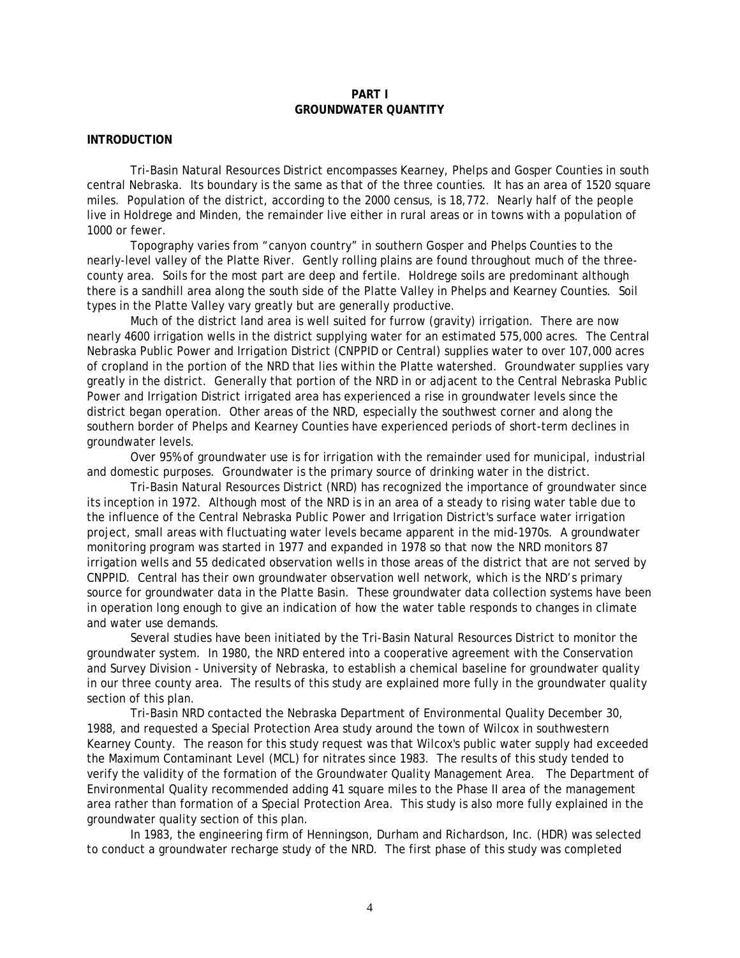## **PART I GROUNDWATER QUANTITY**

#### **INTRODUCTION**

Tri-Basin Natural Resources District encompasses Kearney, Phelps and Gosper Counties in south central Nebraska. Its boundary is the same as that of the three counties. It has an area of 1520 square miles. Population of the district, according to the 2000 census, is 18,772. Nearly half of the people live in Holdrege and Minden, the remainder live either in rural areas or in towns with a population of 1000 or fewer.

Topography varies from "canyon country" in southern Gosper and Phelps Counties to the nearly-level valley of the Platte River. Gently rolling plains are found throughout much of the threecounty area. Soils for the most part are deep and fertile. Holdrege soils are predominant although there is a sandhill area along the south side of the Platte Valley in Phelps and Kearney Counties. Soil types in the Platte Valley vary greatly but are generally productive.

Much of the district land area is well suited for furrow (gravity) irrigation. There are now nearly 4600 irrigation wells in the district supplying water for an estimated 575,000 acres. The Central Nebraska Public Power and Irrigation District (CNPPID or Central) supplies water to over 107,000 acres of cropland in the portion of the NRD that lies within the Platte watershed. Groundwater supplies vary greatly in the district. Generally that portion of the NRD in or adjacent to the Central Nebraska Public Power and Irrigation District irrigated area has experienced a rise in groundwater levels since the district began operation. Other areas of the NRD, especially the southwest corner and along the southern border of Phelps and Kearney Counties have experienced periods of short-term declines in groundwater levels.

Over 95% of groundwater use is for irrigation with the remainder used for municipal, industrial and domestic purposes. Groundwater is the primary source of drinking water in the district.

Tri-Basin Natural Resources District (NRD) has recognized the importance of groundwater since its inception in 1972. Although most of the NRD is in an area of a steady to rising water table due to the influence of the Central Nebraska Public Power and Irrigation District's surface water irrigation project, small areas with fluctuating water levels became apparent in the mid-1970s. A groundwater monitoring program was started in 1977 and expanded in 1978 so that now the NRD monitors 87 irrigation wells and 55 dedicated observation wells in those areas of the district that are not served by CNPPID. Central has their own groundwater observation well network, which is the NRD's primary source for groundwater data in the Platte Basin. These groundwater data collection systems have been in operation long enough to give an indication of how the water table responds to changes in climate and water use demands.

Several studies have been initiated by the Tri-Basin Natural Resources District to monitor the groundwater system. In 1980, the NRD entered into a cooperative agreement with the Conservation and Survey Division - University of Nebraska, to establish a chemical baseline for groundwater quality in our three county area. The results of this study are explained more fully in the groundwater quality section of this plan.

Tri-Basin NRD contacted the Nebraska Department of Environmental Quality December 30, 1988, and requested a Special Protection Area study around the town of Wilcox in southwestern Kearney County. The reason for this study request was that Wilcox's public water supply had exceeded the Maximum Contaminant Level (MCL) for nitrates since 1983. The results of this study tended to verify the validity of the formation of the Groundwater Quality Management Area. The Department of Environmental Quality recommended adding 41 square miles to the Phase II area of the management area rather than formation of a Special Protection Area. This study is also more fully explained in the groundwater quality section of this plan.

In 1983, the engineering firm of Henningson, Durham and Richardson, Inc. (HDR) was selected to conduct a groundwater recharge study of the NRD. The first phase of this study was completed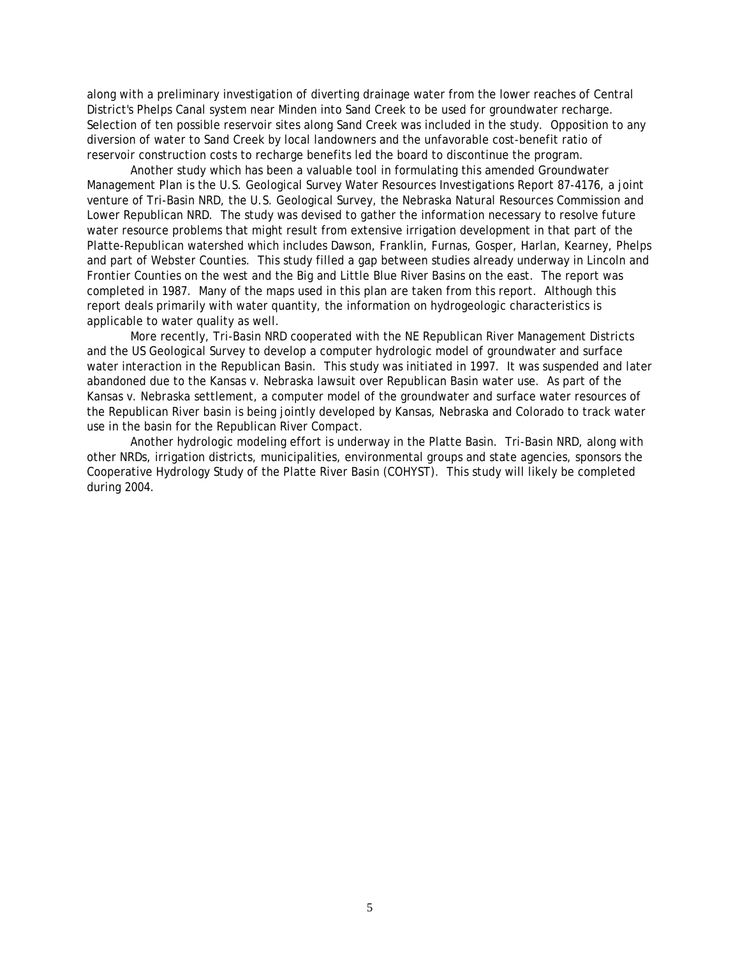along with a preliminary investigation of diverting drainage water from the lower reaches of Central District's Phelps Canal system near Minden into Sand Creek to be used for groundwater recharge. Selection of ten possible reservoir sites along Sand Creek was included in the study. Opposition to any diversion of water to Sand Creek by local landowners and the unfavorable cost-benefit ratio of reservoir construction costs to recharge benefits led the board to discontinue the program.

Another study which has been a valuable tool in formulating this amended Groundwater Management Plan is the U.S. Geological Survey Water Resources Investigations Report 87-4176, a joint venture of Tri-Basin NRD, the U.S. Geological Survey, the Nebraska Natural Resources Commission and Lower Republican NRD. The study was devised to gather the information necessary to resolve future water resource problems that might result from extensive irrigation development in that part of the Platte-Republican watershed which includes Dawson, Franklin, Furnas, Gosper, Harlan, Kearney, Phelps and part of Webster Counties. This study filled a gap between studies already underway in Lincoln and Frontier Counties on the west and the Big and Little Blue River Basins on the east. The report was completed in 1987. Many of the maps used in this plan are taken from this report. Although this report deals primarily with water quantity, the information on hydrogeologic characteristics is applicable to water quality as well.

 More recently, Tri-Basin NRD cooperated with the NE Republican River Management Districts and the US Geological Survey to develop a computer hydrologic model of groundwater and surface water interaction in the Republican Basin. This study was initiated in 1997. It was suspended and later abandoned due to the *Kansas v. Nebraska* lawsuit over Republican Basin water use. As part of the *Kansas v. Nebraska* settlement, a computer model of the groundwater and surface water resources of the Republican River basin is being jointly developed by Kansas, Nebraska and Colorado to track water use in the basin for the Republican River Compact.

 Another hydrologic modeling effort is underway in the Platte Basin. Tri-Basin NRD, along with other NRDs, irrigation districts, municipalities, environmental groups and state agencies, sponsors the Cooperative Hydrology Study of the Platte River Basin (COHYST). This study will likely be completed during 2004.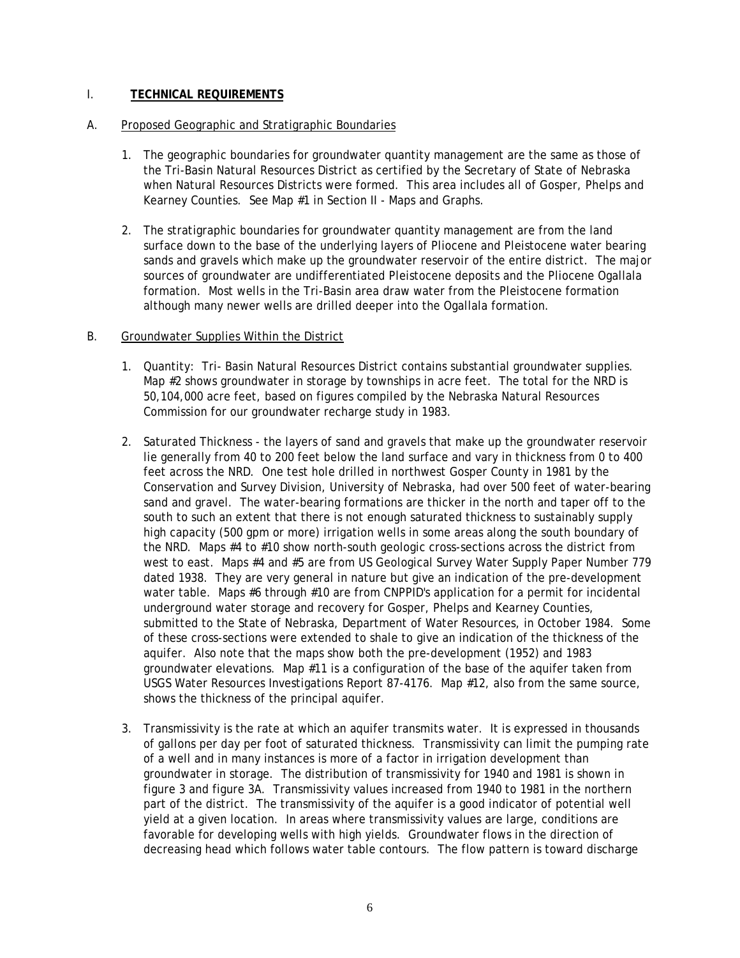## I. **TECHNICAL REQUIREMENTS**

## A. Proposed Geographic and Stratigraphic Boundaries

- 1. The geographic boundaries for groundwater quantity management are the same as those of the Tri-Basin Natural Resources District as certified by the Secretary of State of Nebraska when Natural Resources Districts were formed. This area includes all of Gosper, Phelps and Kearney Counties. See Map #1 in Section II - Maps and Graphs.
- 2. The stratigraphic boundaries for groundwater quantity management are from the land surface down to the base of the underlying layers of Pliocene and Pleistocene water bearing sands and gravels which make up the groundwater reservoir of the entire district. The major sources of groundwater are undifferentiated Pleistocene deposits and the Pliocene Ogallala formation. Most wells in the Tri-Basin area draw water from the Pleistocene formation although many newer wells are drilled deeper into the Ogallala formation.

## B. Groundwater Supplies Within the District

- 1. Quantity: Tri- Basin Natural Resources District contains substantial groundwater supplies. Map #2 shows groundwater in storage by townships in acre feet. The total for the NRD is 50,104,000 acre feet, based on figures compiled by the Nebraska Natural Resources Commission for our groundwater recharge study in 1983.
- 2. Saturated Thickness the layers of sand and gravels that make up the groundwater reservoir lie generally from 40 to 200 feet below the land surface and vary in thickness from 0 to 400 feet across the NRD. One test hole drilled in northwest Gosper County in 1981 by the Conservation and Survey Division, University of Nebraska, had over 500 feet of water-bearing sand and gravel. The water-bearing formations are thicker in the north and taper off to the south to such an extent that there is not enough saturated thickness to sustainably supply high capacity (500 gpm or more) irrigation wells in some areas along the south boundary of the NRD. Maps #4 to #10 show north-south geologic cross-sections across the district from west to east. Maps #4 and #5 are from US Geological Survey Water Supply Paper Number 779 dated 1938. They are very general in nature but give an indication of the pre-development water table. Maps #6 through #10 are from CNPPID's application for a permit for incidental underground water storage and recovery for Gosper, Phelps and Kearney Counties, submitted to the State of Nebraska, Department of Water Resources, in October 1984. Some of these cross-sections were extended to shale to give an indication of the thickness of the aquifer. Also note that the maps show both the pre-development (1952) and 1983 groundwater elevations. Map #11 is a configuration of the base of the aquifer taken from USGS Water Resources Investigations Report 87-4176. Map #12, also from the same source, shows the thickness of the principal aquifer.
- 3. Transmissivity is the rate at which an aquifer transmits water. It is expressed in thousands of gallons per day per foot of saturated thickness. Transmissivity can limit the pumping rate of a well and in many instances is more of a factor in irrigation development than groundwater in storage. The distribution of transmissivity for 1940 and 1981 is shown in figure 3 and figure 3A. Transmissivity values increased from 1940 to 1981 in the northern part of the district. The transmissivity of the aquifer is a good indicator of potential well yield at a given location. In areas where transmissivity values are large, conditions are favorable for developing wells with high yields. Groundwater flows in the direction of decreasing head which follows water table contours. The flow pattern is toward discharge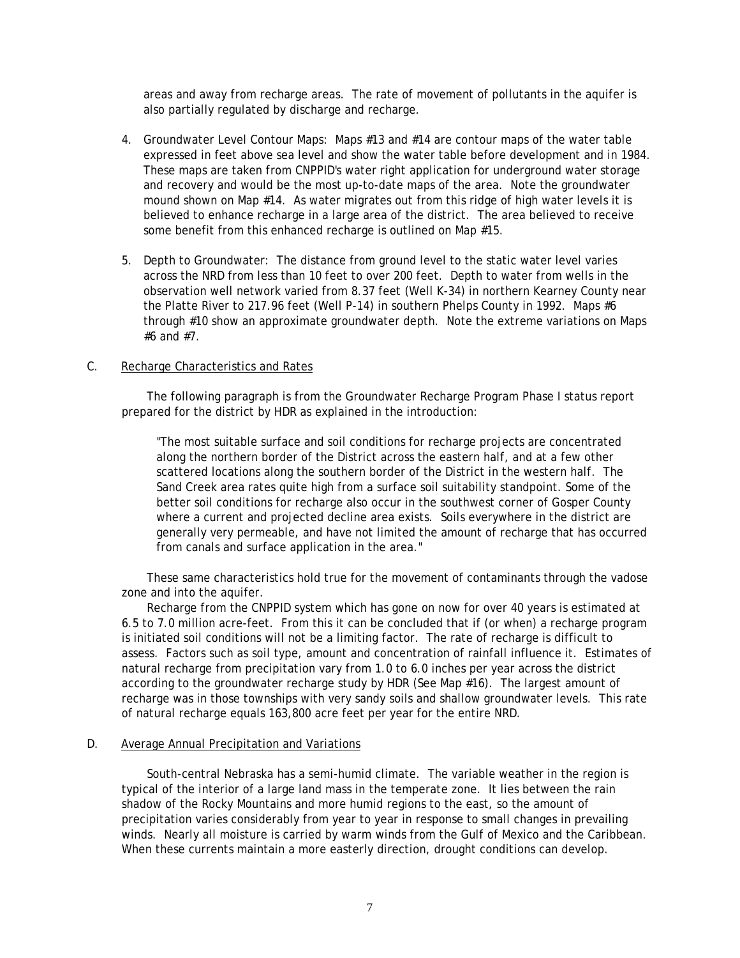areas and away from recharge areas. The rate of movement of pollutants in the aquifer is also partially regulated by discharge and recharge.

- 4. Groundwater Level Contour Maps: Maps #13 and #14 are contour maps of the water table expressed in feet above sea level and show the water table before development and in 1984. These maps are taken from CNPPID's water right application for underground water storage and recovery and would be the most up-to-date maps of the area. Note the groundwater mound shown on Map #14. As water migrates out from this ridge of high water levels it is believed to enhance recharge in a large area of the district. The area believed to receive some benefit from this enhanced recharge is outlined on Map #15.
- 5. Depth to Groundwater: The distance from ground level to the static water level varies across the NRD from less than 10 feet to over 200 feet. Depth to water from wells in the observation well network varied from 8.37 feet (Well K-34) in northern Kearney County near the Platte River to 217.96 feet (Well P-14) in southern Phelps County in 1992. Maps #6 through #10 show an approximate groundwater depth. Note the extreme variations on Maps #6 and #7.

#### C. Recharge Characteristics and Rates

 The following paragraph is from the Groundwater Recharge Program Phase I status report prepared for the district by HDR as explained in the introduction:

"The most suitable surface and soil conditions for recharge projects are concentrated along the northern border of the District across the eastern half, and at a few other scattered locations along the southern border of the District in the western half. The Sand Creek area rates quite high from a surface soil suitability standpoint. Some of the better soil conditions for recharge also occur in the southwest corner of Gosper County where a current and projected decline area exists. Soils everywhere in the district are generally very permeable, and have not limited the amount of recharge that has occurred from canals and surface application in the area."

 These same characteristics hold true for the movement of contaminants through the vadose zone and into the aquifer.

 Recharge from the CNPPID system which has gone on now for over 40 years is estimated at 6.5 to 7.0 million acre-feet. From this it can be concluded that if (or when) a recharge program is initiated soil conditions will not be a limiting factor. The rate of recharge is difficult to assess. Factors such as soil type, amount and concentration of rainfall influence it. Estimates of natural recharge from precipitation vary from 1.0 to 6.0 inches per year across the district according to the groundwater recharge study by HDR (See Map #16). The largest amount of recharge was in those townships with very sandy soils and shallow groundwater levels. This rate of natural recharge equals 163,800 acre feet per year for the entire NRD.

#### D. Average Annual Precipitation and Variations

 South-central Nebraska has a semi-humid climate. The variable weather in the region is typical of the interior of a large land mass in the temperate zone. It lies between the rain shadow of the Rocky Mountains and more humid regions to the east, so the amount of precipitation varies considerably from year to year in response to small changes in prevailing winds. Nearly all moisture is carried by warm winds from the Gulf of Mexico and the Caribbean. When these currents maintain a more easterly direction, drought conditions can develop.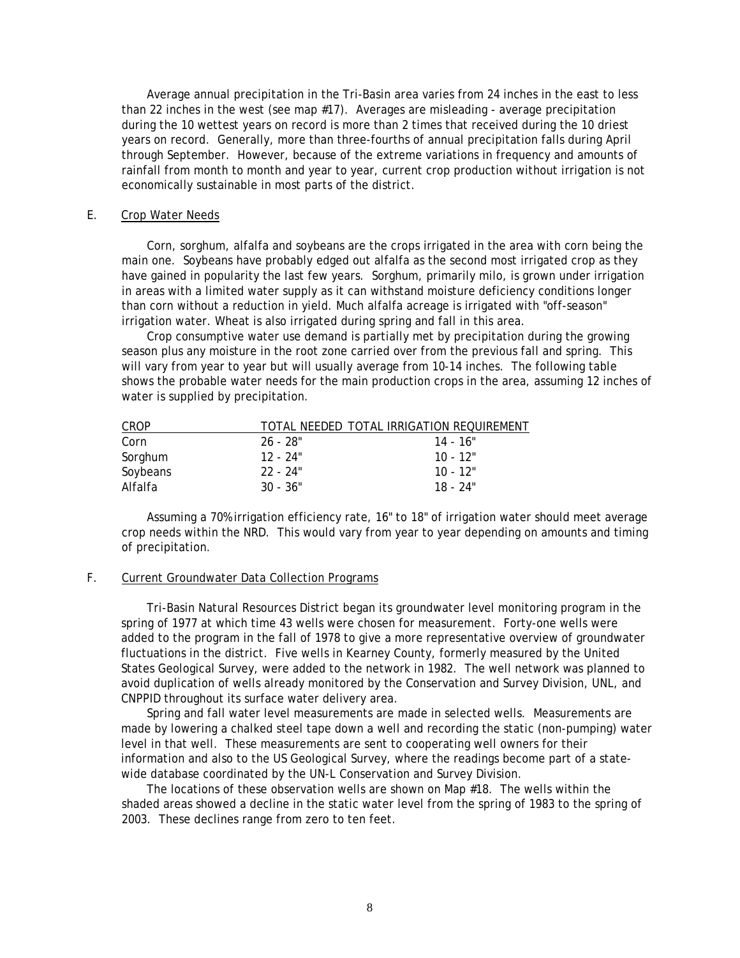Average annual precipitation in the Tri-Basin area varies from 24 inches in the east to less than 22 inches in the west (see map #17). Averages are misleading - average precipitation during the 10 wettest years on record is more than 2 times that received during the 10 driest years on record. Generally, more than three-fourths of annual precipitation falls during April through September. However, because of the extreme variations in frequency and amounts of rainfall from month to month and year to year, current crop production without irrigation is not economically sustainable in most parts of the district.

#### E. Crop Water Needs

 Corn, sorghum, alfalfa and soybeans are the crops irrigated in the area with corn being the main one. Soybeans have probably edged out alfalfa as the second most irrigated crop as they have gained in popularity the last few years. Sorghum, primarily milo, is grown under irrigation in areas with a limited water supply as it can withstand moisture deficiency conditions longer than corn without a reduction in yield. Much alfalfa acreage is irrigated with "off-season" irrigation water. Wheat is also irrigated during spring and fall in this area.

 Crop consumptive water use demand is partially met by precipitation during the growing season plus any moisture in the root zone carried over from the previous fall and spring. This will vary from year to year but will usually average from 10-14 inches. The following table shows the probable water needs for the main production crops in the area, assuming 12 inches of water is supplied by precipitation.

| CROP     |            | TOTAL NEEDED TOTAL IRRIGATION REQUIREMENT |
|----------|------------|-------------------------------------------|
| Corn     | 26 - 28"   | 14 - 16"                                  |
| Sorghum  | 12 - 24"   | $10 - 12"$                                |
| Soybeans | $22 - 24"$ | $10 - 12"$                                |
| Alfalfa  | $30 - 36"$ | $18 - 24"$                                |

 Assuming a 70% irrigation efficiency rate, 16" to 18" of irrigation water should meet average crop needs within the NRD. This would vary from year to year depending on amounts and timing of precipitation.

## F. Current Groundwater Data Collection Programs

 Tri-Basin Natural Resources District began its groundwater level monitoring program in the spring of 1977 at which time 43 wells were chosen for measurement. Forty-one wells were added to the program in the fall of 1978 to give a more representative overview of groundwater fluctuations in the district. Five wells in Kearney County, formerly measured by the United States Geological Survey, were added to the network in 1982. The well network was planned to avoid duplication of wells already monitored by the Conservation and Survey Division, UNL, and CNPPID throughout its surface water delivery area.

 Spring and fall water level measurements are made in selected wells. Measurements are made by lowering a chalked steel tape down a well and recording the static (non-pumping) water level in that well. These measurements are sent to cooperating well owners for their information and also to the US Geological Survey, where the readings become part of a statewide database coordinated by the UN-L Conservation and Survey Division.

 The locations of these observation wells are shown on Map #18. The wells within the shaded areas showed a decline in the static water level from the spring of 1983 to the spring of 2003. These declines range from zero to ten feet.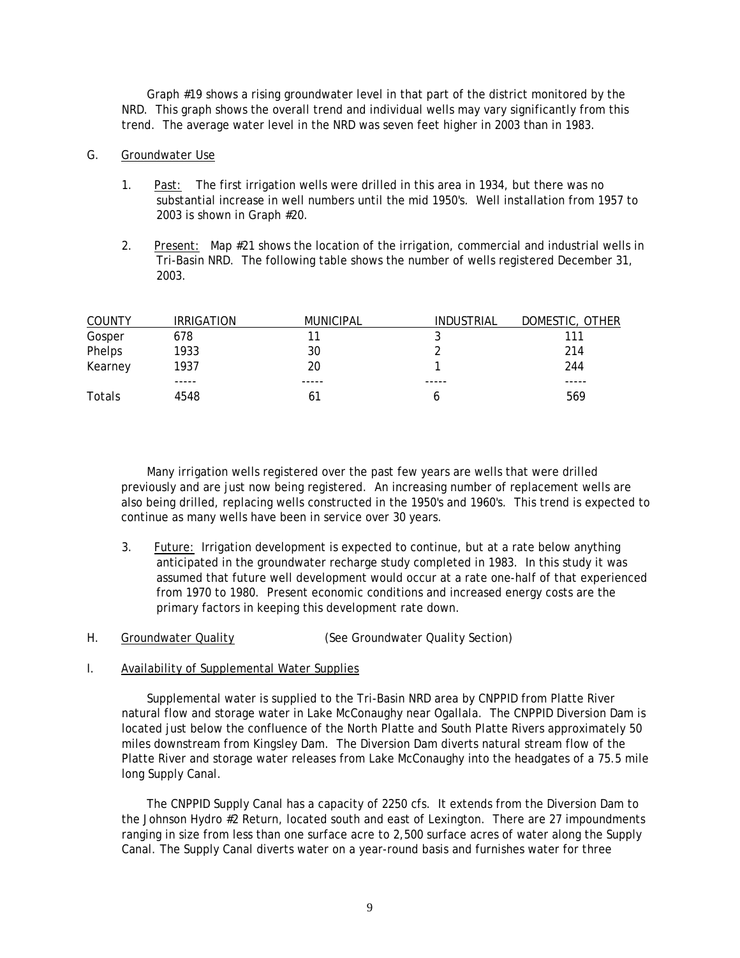Graph #19 shows a rising groundwater level in that part of the district monitored by the NRD. This graph shows the overall trend and individual wells may vary significantly from this trend. The average water level in the NRD was seven feet higher in 2003 than in 1983.

#### G. Groundwater Use

- 1. Past: The first irrigation wells were drilled in this area in 1934, but there was no substantial increase in well numbers until the mid 1950's. Well installation from 1957 to 2003 is shown in Graph #20.
- 2. Present: Map #21 shows the location of the irrigation, commercial and industrial wells in Tri-Basin NRD. The following table shows the number of wells registered December 31, 2003.

| <b>COUNTY</b> | <b>IRRIGATION</b> | <b>MUNICIPAL</b> | INDUSTRIAL | DOMESTIC, OTHER |
|---------------|-------------------|------------------|------------|-----------------|
| Gosper        | 678               |                  |            | 111             |
| Phelps        | 1933              | 30               |            | 214             |
| Kearney       | 1937              | 20               |            | 244             |
|               | -----             | -----            | -----      | -----           |
| Totals        | 4548              | 61               |            | 569             |

 Many irrigation wells registered over the past few years are wells that were drilled previously and are just now being registered. An increasing number of replacement wells are also being drilled, replacing wells constructed in the 1950's and 1960's. This trend is expected to continue as many wells have been in service over 30 years.

3. Future: Irrigation development is expected to continue, but at a rate below anything anticipated in the groundwater recharge study completed in 1983. In this study it was assumed that future well development would occur at a rate one-half of that experienced from 1970 to 1980. Present economic conditions and increased energy costs are the primary factors in keeping this development rate down.

## H. Groundwater Quality (See Groundwater Quality Section)

#### I. Availability of Supplemental Water Supplies

 Supplemental water is supplied to the Tri-Basin NRD area by CNPPID from Platte River natural flow and storage water in Lake McConaughy near Ogallala. The CNPPID Diversion Dam is located just below the confluence of the North Platte and South Platte Rivers approximately 50 miles downstream from Kingsley Dam. The Diversion Dam diverts natural stream flow of the Platte River and storage water releases from Lake McConaughy into the headgates of a 75.5 mile long Supply Canal.

 The CNPPID Supply Canal has a capacity of 2250 cfs. It extends from the Diversion Dam to the Johnson Hydro #2 Return, located south and east of Lexington. There are 27 impoundments ranging in size from less than one surface acre to 2,500 surface acres of water along the Supply Canal. The Supply Canal diverts water on a year-round basis and furnishes water for three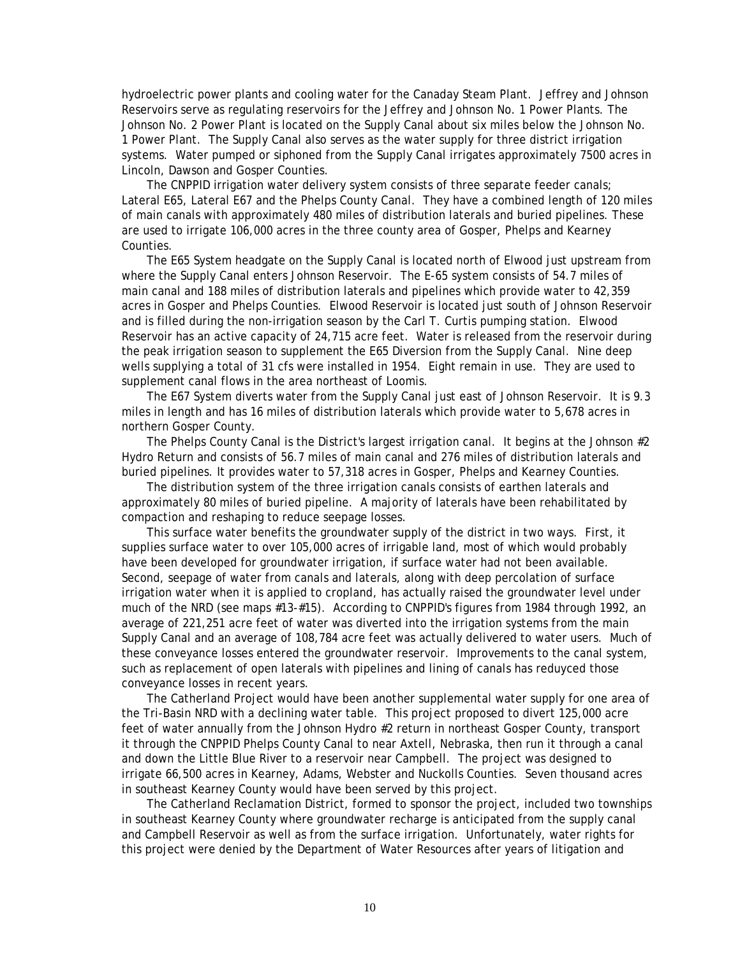hydroelectric power plants and cooling water for the Canaday Steam Plant. Jeffrey and Johnson Reservoirs serve as regulating reservoirs for the Jeffrey and Johnson No. 1 Power Plants. The Johnson No. 2 Power Plant is located on the Supply Canal about six miles below the Johnson No. 1 Power Plant. The Supply Canal also serves as the water supply for three district irrigation systems. Water pumped or siphoned from the Supply Canal irrigates approximately 7500 acres in Lincoln, Dawson and Gosper Counties.

 The CNPPID irrigation water delivery system consists of three separate feeder canals; Lateral E65, Lateral E67 and the Phelps County Canal. They have a combined length of 120 miles of main canals with approximately 480 miles of distribution laterals and buried pipelines. These are used to irrigate 106,000 acres in the three county area of Gosper, Phelps and Kearney Counties.

 The E65 System headgate on the Supply Canal is located north of Elwood just upstream from where the Supply Canal enters Johnson Reservoir. The E-65 system consists of 54.7 miles of main canal and 188 miles of distribution laterals and pipelines which provide water to 42,359 acres in Gosper and Phelps Counties. Elwood Reservoir is located just south of Johnson Reservoir and is filled during the non-irrigation season by the Carl T. Curtis pumping station. Elwood Reservoir has an active capacity of 24,715 acre feet. Water is released from the reservoir during the peak irrigation season to supplement the E65 Diversion from the Supply Canal. Nine deep wells supplying a total of 31 cfs were installed in 1954. Eight remain in use. They are used to supplement canal flows in the area northeast of Loomis.

 The E67 System diverts water from the Supply Canal just east of Johnson Reservoir. It is 9.3 miles in length and has 16 miles of distribution laterals which provide water to 5,678 acres in northern Gosper County.

 The Phelps County Canal is the District's largest irrigation canal. It begins at the Johnson #2 Hydro Return and consists of 56.7 miles of main canal and 276 miles of distribution laterals and buried pipelines. It provides water to 57,318 acres in Gosper, Phelps and Kearney Counties.

 The distribution system of the three irrigation canals consists of earthen laterals and approximately 80 miles of buried pipeline. A majority of laterals have been rehabilitated by compaction and reshaping to reduce seepage losses.

 This surface water benefits the groundwater supply of the district in two ways. First, it supplies surface water to over 105,000 acres of irrigable land, most of which would probably have been developed for groundwater irrigation, if surface water had not been available. Second, seepage of water from canals and laterals, along with deep percolation of surface irrigation water when it is applied to cropland, has actually raised the groundwater level under much of the NRD (see maps #13-#15). According to CNPPID's figures from 1984 through 1992, an average of 221,251 acre feet of water was diverted into the irrigation systems from the main Supply Canal and an average of 108,784 acre feet was actually delivered to water users. Much of these conveyance losses entered the groundwater reservoir. Improvements to the canal system, such as replacement of open laterals with pipelines and lining of canals has reduyced those conveyance losses in recent years.

 The Catherland Project would have been another supplemental water supply for one area of the Tri-Basin NRD with a declining water table. This project proposed to divert 125,000 acre feet of water annually from the Johnson Hydro #2 return in northeast Gosper County, transport it through the CNPPID Phelps County Canal to near Axtell, Nebraska, then run it through a canal and down the Little Blue River to a reservoir near Campbell. The project was designed to irrigate 66,500 acres in Kearney, Adams, Webster and Nuckolls Counties. Seven thousand acres in southeast Kearney County would have been served by this project.

 The Catherland Reclamation District, formed to sponsor the project, included two townships in southeast Kearney County where groundwater recharge is anticipated from the supply canal and Campbell Reservoir as well as from the surface irrigation. Unfortunately, water rights for this project were denied by the Department of Water Resources after years of litigation and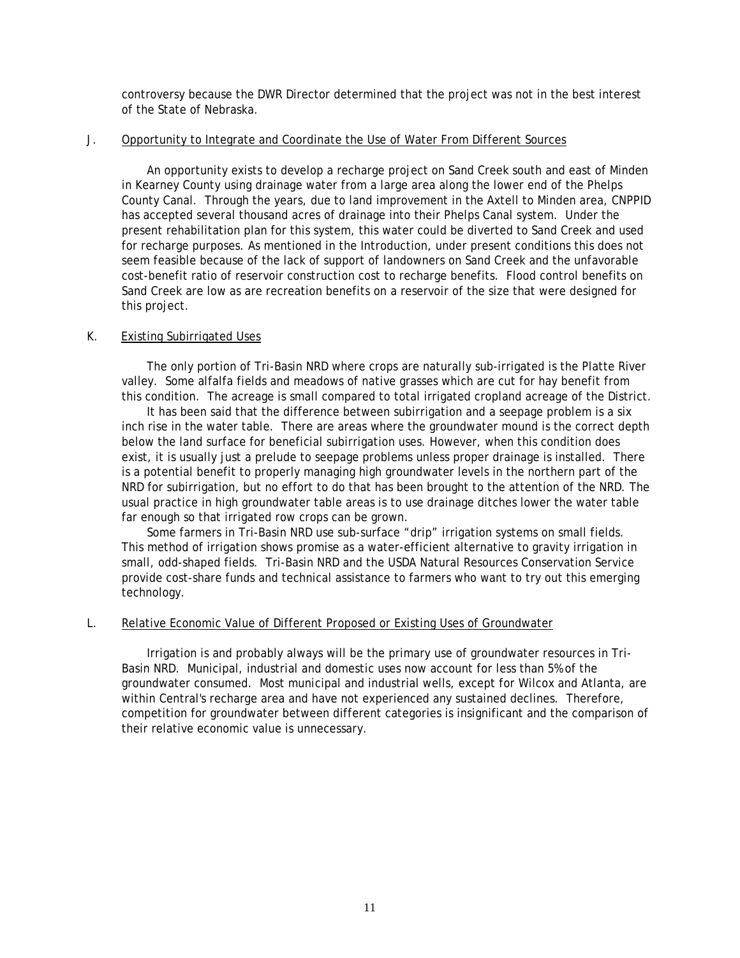controversy because the DWR Director determined that the project was not in the best interest of the State of Nebraska.

#### J. Opportunity to Integrate and Coordinate the Use of Water From Different Sources

 An opportunity exists to develop a recharge project on Sand Creek south and east of Minden in Kearney County using drainage water from a large area along the lower end of the Phelps County Canal. Through the years, due to land improvement in the Axtell to Minden area, CNPPID has accepted several thousand acres of drainage into their Phelps Canal system. Under the present rehabilitation plan for this system, this water could be diverted to Sand Creek and used for recharge purposes. As mentioned in the Introduction, under present conditions this does not seem feasible because of the lack of support of landowners on Sand Creek and the unfavorable cost-benefit ratio of reservoir construction cost to recharge benefits. Flood control benefits on Sand Creek are low as are recreation benefits on a reservoir of the size that were designed for this project.

## K. Existing Subirrigated Uses

 The only portion of Tri-Basin NRD where crops are naturally sub-irrigated is the Platte River valley. Some alfalfa fields and meadows of native grasses which are cut for hay benefit from this condition. The acreage is small compared to total irrigated cropland acreage of the District.

 It has been said that the difference between subirrigation and a seepage problem is a six inch rise in the water table. There are areas where the groundwater mound is the correct depth below the land surface for beneficial subirrigation uses. However, when this condition does exist, it is usually just a prelude to seepage problems unless proper drainage is installed. There is a potential benefit to properly managing high groundwater levels in the northern part of the NRD for subirrigation, but no effort to do that has been brought to the attention of the NRD. The usual practice in high groundwater table areas is to use drainage ditches lower the water table far enough so that irrigated row crops can be grown.

 Some farmers in Tri-Basin NRD use sub-surface "drip" irrigation systems on small fields. This method of irrigation shows promise as a water-efficient alternative to gravity irrigation in small, odd-shaped fields. Tri-Basin NRD and the USDA Natural Resources Conservation Service provide cost-share funds and technical assistance to farmers who want to try out this emerging technology.

#### L. Relative Economic Value of Different Proposed or Existing Uses of Groundwater

 Irrigation is and probably always will be the primary use of groundwater resources in Tri-Basin NRD. Municipal, industrial and domestic uses now account for less than 5% of the groundwater consumed. Most municipal and industrial wells, except for Wilcox and Atlanta, are within Central's recharge area and have not experienced any sustained declines. Therefore, competition for groundwater between different categories is insignificant and the comparison of their relative economic value is unnecessary.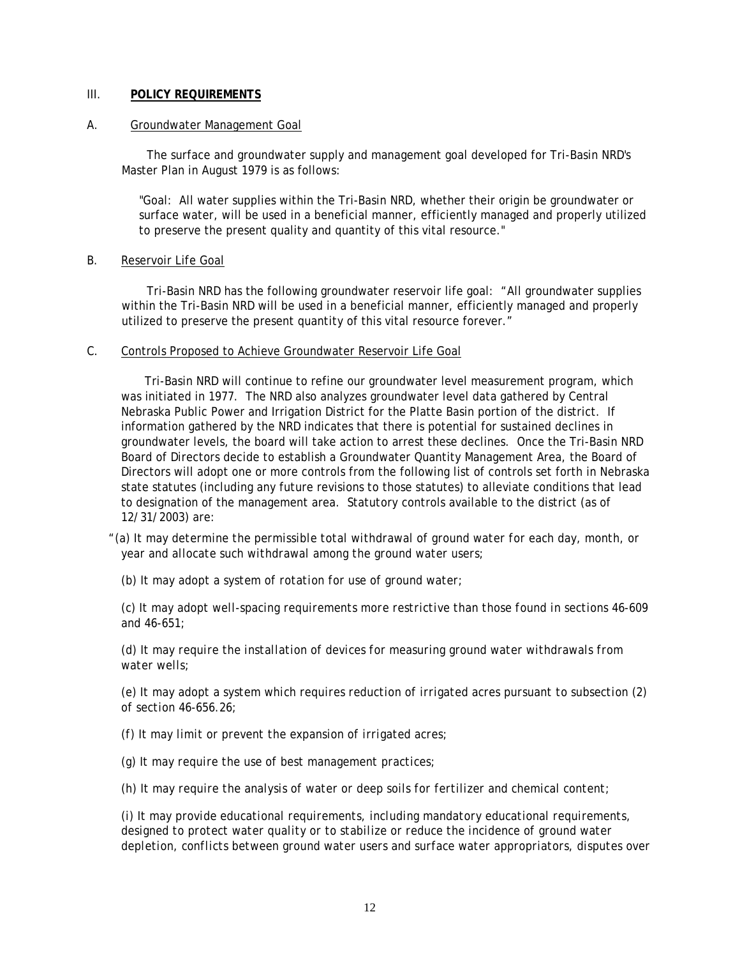## III. **POLICY REQUIREMENTS**

#### A. Groundwater Management Goal

 The surface and groundwater supply and management goal developed for Tri-Basin NRD's Master Plan in August 1979 is as follows:

"Goal: All water supplies within the Tri-Basin NRD, whether their origin be groundwater or surface water, will be used in a beneficial manner, efficiently managed and properly utilized to preserve the present quality and quantity of this vital resource."

B. Reservoir Life Goal

Tri-Basin NRD has the following groundwater reservoir life goal: "All groundwater supplies within the Tri-Basin NRD will be used in a beneficial manner, efficiently managed and properly utilized to preserve the present quantity of this vital resource forever."

#### C. Controls Proposed to Achieve Groundwater Reservoir Life Goal

 Tri-Basin NRD will continue to refine our groundwater level measurement program, which was initiated in 1977. The NRD also analyzes groundwater level data gathered by Central Nebraska Public Power and Irrigation District for the Platte Basin portion of the district. If information gathered by the NRD indicates that there is potential for sustained declines in groundwater levels, the board will take action to arrest these declines. Once the Tri-Basin NRD Board of Directors decide to establish a Groundwater Quantity Management Area, the Board of Directors will adopt one or more controls from the following list of controls set forth in Nebraska state statutes (including any future revisions to those statutes) to alleviate conditions that lead to designation of the management area. Statutory controls available to the district (as of 12/31/2003) are:

 *"(a) It may determine the permissible total withdrawal of ground water for each day, month, or year and allocate such withdrawal among the ground water users;* 

 *(b) It may adopt a system of rotation for use of ground water;* 

 *(c) It may adopt well-spacing requirements more restrictive than those found in sections 46-609 and 46-651;* 

 *(d) It may require the installation of devices for measuring ground water withdrawals from water wells;* 

 *(e) It may adopt a system which requires reduction of irrigated acres pursuant to subsection (2) of section 46-656.26;* 

 *(f) It may limit or prevent the expansion of irrigated acres;* 

 *(g) It may require the use of best management practices;* 

 *(h) It may require the analysis of water or deep soils for fertilizer and chemical content;* 

 *(i) It may provide educational requirements, including mandatory educational requirements, designed to protect water quality or to stabilize or reduce the incidence of ground water depletion, conflicts between ground water users and surface water appropriators, disputes over*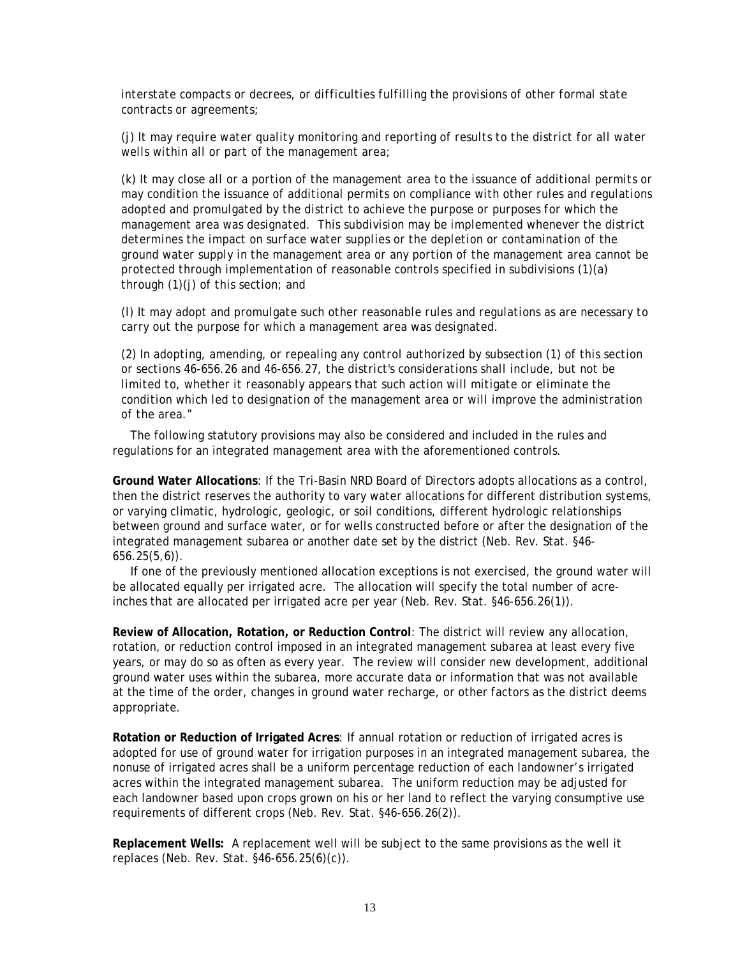*interstate compacts or decrees, or difficulties fulfilling the provisions of other formal state contracts or agreements;* 

 *(j) It may require water quality monitoring and reporting of results to the district for all water wells within all or part of the management area;* 

 *(k) It may close all or a portion of the management area to the issuance of additional permits or may condition the issuance of additional permits on compliance with other rules and regulations adopted and promulgated by the district to achieve the purpose or purposes for which the management area was designated. This subdivision may be implemented whenever the district determines the impact on surface water supplies or the depletion or contamination of the ground water supply in the management area or any portion of the management area cannot be protected through implementation of reasonable controls specified in subdivisions (1)(a) through (1)(j) of this section; and* 

 *(l) It may adopt and promulgate such other reasonable rules and regulations as are necessary to carry out the purpose for which a management area was designated.* 

 *(2) In adopting, amending, or repealing any control authorized by subsection (1) of this section or sections 46-656.26 and 46-656.27, the district's considerations shall include, but not be limited to, whether it reasonably appears that such action will mitigate or eliminate the condition which led to designation of the management area or will improve the administration of the area."* 

 The following statutory provisions may also be considered and included in the rules and regulations for an integrated management area with the aforementioned controls.

**Ground Water Allocations**: If the Tri-Basin NRD Board of Directors adopts allocations as a control, then the district reserves the authority to vary water allocations for different distribution systems, or varying climatic, hydrologic, geologic, or soil conditions, different hydrologic relationships between ground and surface water, or for wells constructed before or after the designation of the integrated management subarea or another date set by the district (Neb. Rev. Stat. §46- 656.25(5,6)).

If one of the previously mentioned allocation exceptions is not exercised, the ground water will be allocated equally per irrigated acre. The allocation will specify the total number of acreinches that are allocated per irrigated acre per year (Neb. Rev. Stat. §46-656.26(1)).

**Review of Allocation, Rotation, or Reduction Control**: The district will review any allocation, rotation, or reduction control imposed in an integrated management subarea at least every five years, or may do so as often as every year. The review will consider new development, additional ground water uses within the subarea, more accurate data or information that was not available at the time of the order, changes in ground water recharge, or other factors as the district deems appropriate.

**Rotation or Reduction of Irrigated Acres**: If annual rotation or reduction of irrigated acres is adopted for use of ground water for irrigation purposes in an integrated management subarea, the nonuse of irrigated acres shall be a uniform percentage reduction of each landowner's irrigated acres within the integrated management subarea. The uniform reduction may be adjusted for each landowner based upon crops grown on his or her land to reflect the varying consumptive use requirements of different crops (Neb. Rev. Stat. §46-656.26(2)).

**Replacement Wells:** A replacement well will be subject to the same provisions as the well it replaces (Neb. Rev. Stat. §46-656.25(6)(c)).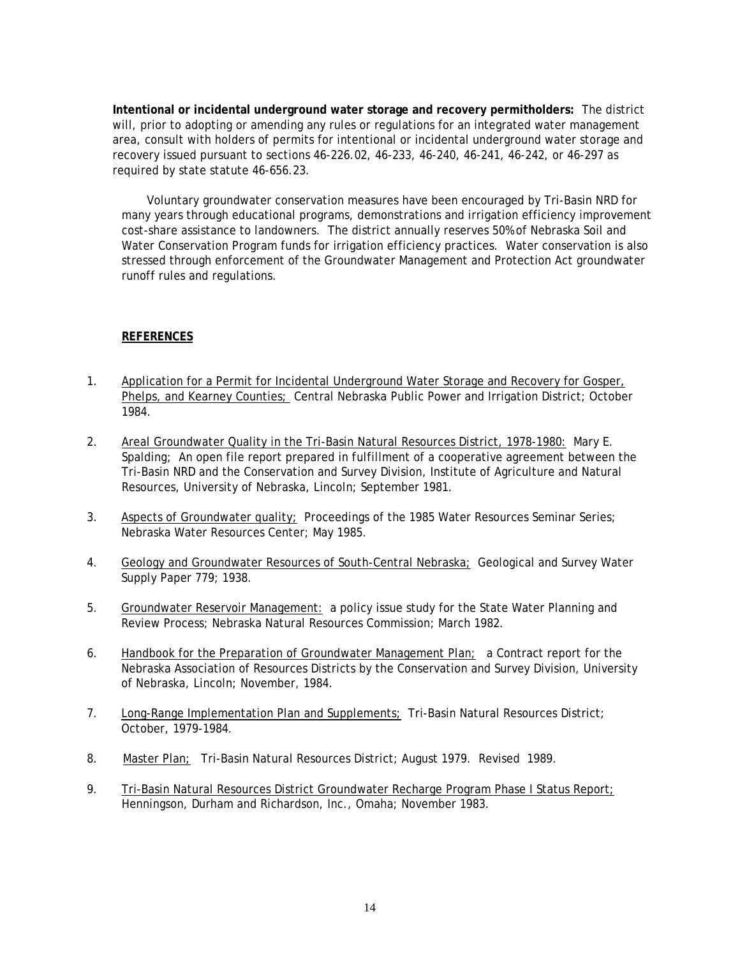**Intentional or incidental underground water storage and recovery permitholders:** The district will, prior to adopting or amending any rules or regulations for an integrated water management area, consult with holders of permits for intentional or incidental underground water storage and recovery issued pursuant to sections 46-226.02, 46-233, 46-240, 46-241, 46-242, or 46-297 as required by state statute 46-656.23.

 Voluntary groundwater conservation measures have been encouraged by Tri-Basin NRD for many years through educational programs, demonstrations and irrigation efficiency improvement cost-share assistance to landowners. The district annually reserves 50% of Nebraska Soil and Water Conservation Program funds for irrigation efficiency practices. Water conservation is also stressed through enforcement of the Groundwater Management and Protection Act groundwater runoff rules and regulations.

## **REFERENCES**

- 1. Application for a Permit for Incidental Underground Water Storage and Recovery for Gosper, Phelps, and Kearney Counties; Central Nebraska Public Power and Irrigation District; October 1984.
- 2. Areal Groundwater Quality in the Tri-Basin Natural Resources District, 1978-1980: Mary E. Spalding; An open file report prepared in fulfillment of a cooperative agreement between the Tri-Basin NRD and the Conservation and Survey Division, Institute of Agriculture and Natural Resources, University of Nebraska, Lincoln; September 1981.
- 3. Aspects of Groundwater quality; Proceedings of the 1985 Water Resources Seminar Series; Nebraska Water Resources Center; May 1985.
- 4. Geology and Groundwater Resources of South-Central Nebraska; Geological and Survey Water Supply Paper 779; 1938.
- 5. Groundwater Reservoir Management: a policy issue study for the State Water Planning and Review Process; Nebraska Natural Resources Commission; March 1982.
- 6. Handbook for the Preparation of Groundwater Management Plan; a Contract report for the Nebraska Association of Resources Districts by the Conservation and Survey Division, University of Nebraska, Lincoln; November, 1984.
- 7. Long-Range Implementation Plan and Supplements; Tri-Basin Natural Resources District; October, 1979-1984.
- 8. Master Plan; Tri-Basin Natural Resources District; August 1979. Revised 1989.
- 9. Tri-Basin Natural Resources District Groundwater Recharge Program Phase I Status Report; Henningson, Durham and Richardson, Inc., Omaha; November 1983.